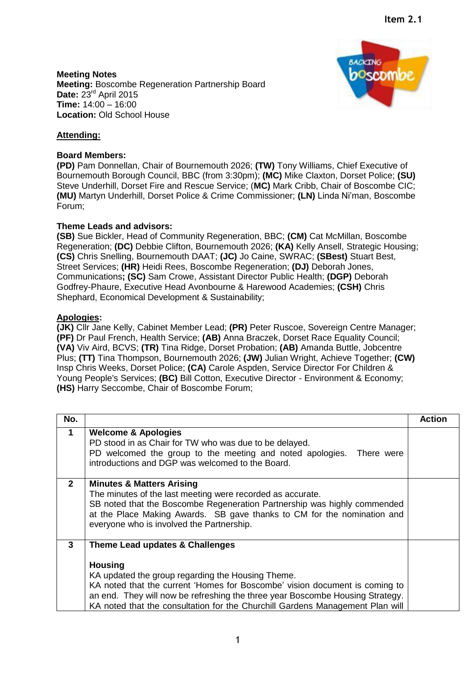**Meeting Notes Meeting:** Boscombe Regeneration Partnership Board **Date:** 23rd April 2015 **Time:** 14:00 – 16:00 **Location:** Old School House



# **Attending:**

### **Board Members:**

**(PD)** Pam Donnellan, Chair of Bournemouth 2026; **(TW)** Tony Williams, Chief Executive of Bournemouth Borough Council, BBC (from 3:30pm); **(MC)** Mike Claxton, Dorset Police; **(SU)** Steve Underhill, Dorset Fire and Rescue Service; (**MC)** Mark Cribb, Chair of Boscombe CIC; **(MU)** Martyn Underhill, Dorset Police & Crime Commissioner; **(LN)** Linda Ni'man, Boscombe Forum;

#### **Theme Leads and advisors:**

**(SB)** Sue Bickler, Head of Community Regeneration, BBC; **(CM)** Cat McMillan, Boscombe Regeneration; **(DC)** Debbie Clifton, Bournemouth 2026; **(KA)** Kelly Ansell, Strategic Housing; **(CS)** Chris Snelling, Bournemouth DAAT; **(JC)** Jo Caine, SWRAC; **(SBest)** Stuart Best, Street Services; **(HR)** Heidi Rees, Boscombe Regeneration; **(DJ)** Deborah Jones, Communications**; (SC)** Sam Crowe, Assistant Director Public Health; **(DGP)** Deborah Godfrey-Phaure, Executive Head Avonbourne & Harewood Academies; **(CSH)** Chris Shephard, Economical Development & Sustainability;

#### **Apologies:**

**(JK)** Cllr Jane Kelly, Cabinet Member Lead; **(PR)** Peter Ruscoe, Sovereign Centre Manager; **(PF)** Dr Paul French, Health Service; **(AB)** Anna Braczek, Dorset Race Equality Council; **(VA)** Viv Aird, BCVS; **(TR)** Tina Ridge, Dorset Probation; **(AB)** Amanda Buttle, Jobcentre Plus; **(TT)** Tina Thompson, Bournemouth 2026; **(JW)** Julian Wright, Achieve Together; **(CW)**  Insp Chris Weeks, Dorset Police; **(CA)** Carole Aspden, Service Director For Children & Young People's Services; **(BC)** Bill Cotton, Executive Director - Environment & Economy; **(HS)** Harry Seccombe, Chair of Boscombe Forum;

| No.          |                                                                                                                                                                                                                                                                                                                                                         | <b>Action</b> |
|--------------|---------------------------------------------------------------------------------------------------------------------------------------------------------------------------------------------------------------------------------------------------------------------------------------------------------------------------------------------------------|---------------|
| 1            | <b>Welcome &amp; Apologies</b><br>PD stood in as Chair for TW who was due to be delayed.<br>PD welcomed the group to the meeting and noted apologies. There were<br>introductions and DGP was welcomed to the Board.                                                                                                                                    |               |
| $\mathbf{2}$ | <b>Minutes &amp; Matters Arising</b><br>The minutes of the last meeting were recorded as accurate.<br>SB noted that the Boscombe Regeneration Partnership was highly commended<br>at the Place Making Awards. SB gave thanks to CM for the nomination and<br>everyone who is involved the Partnership.                                                  |               |
| 3            | Theme Lead updates & Challenges<br><b>Housing</b><br>KA updated the group regarding the Housing Theme.<br>KA noted that the current 'Homes for Boscombe' vision document is coming to<br>an end. They will now be refreshing the three year Boscombe Housing Strategy.<br>KA noted that the consultation for the Churchill Gardens Management Plan will |               |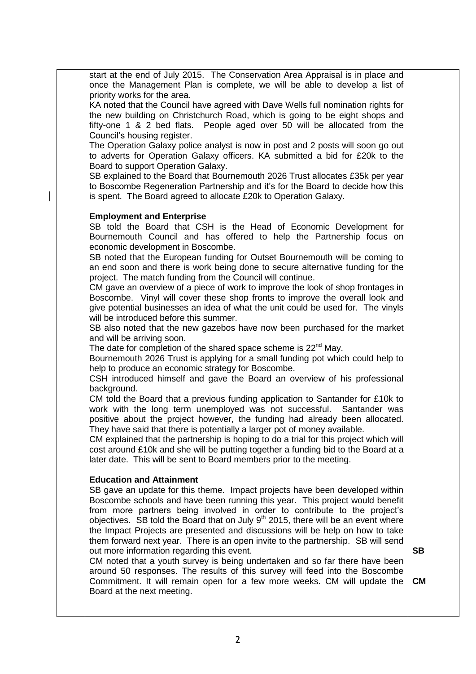start at the end of July 2015. The Conservation Area Appraisal is in place and once the Management Plan is complete, we will be able to develop a list of priority works for the area.

KA noted that the Council have agreed with Dave Wells full nomination rights for the new building on Christchurch Road, which is going to be eight shops and fifty-one 1 & 2 bed flats. People aged over 50 will be allocated from the Council's housing register.

The Operation Galaxy police analyst is now in post and 2 posts will soon go out to adverts for Operation Galaxy officers. KA submitted a bid for £20k to the Board to support Operation Galaxy.

SB explained to the Board that Bournemouth 2026 Trust allocates £35k per year to Boscombe Regeneration Partnership and it's for the Board to decide how this is spent. The Board agreed to allocate £20k to Operation Galaxy.

#### **Employment and Enterprise**

SB told the Board that CSH is the Head of Economic Development for Bournemouth Council and has offered to help the Partnership focus on economic development in Boscombe.

SB noted that the European funding for Outset Bournemouth will be coming to an end soon and there is work being done to secure alternative funding for the project. The match funding from the Council will continue.

CM gave an overview of a piece of work to improve the look of shop frontages in Boscombe. Vinyl will cover these shop fronts to improve the overall look and give potential businesses an idea of what the unit could be used for. The vinyls will be introduced before this summer.

SB also noted that the new gazebos have now been purchased for the market and will be arriving soon.

The date for completion of the shared space scheme is 22<sup>nd</sup> May.

Bournemouth 2026 Trust is applying for a small funding pot which could help to help to produce an economic strategy for Boscombe.

CSH introduced himself and gave the Board an overview of his professional background.

CM told the Board that a previous funding application to Santander for £10k to work with the long term unemployed was not successful. Santander was positive about the project however, the funding had already been allocated. They have said that there is potentially a larger pot of money available.

CM explained that the partnership is hoping to do a trial for this project which will cost around £10k and she will be putting together a funding bid to the Board at a later date. This will be sent to Board members prior to the meeting.

## **Education and Attainment**

SB gave an update for this theme. Impact projects have been developed within Boscombe schools and have been running this year. This project would benefit from more partners being involved in order to contribute to the project's objectives. SB told the Board that on July  $9<sup>th</sup>$  2015, there will be an event where the Impact Projects are presented and discussions will be help on how to take them forward next year. There is an open invite to the partnership. SB will send out more information regarding this event.

CM noted that a youth survey is being undertaken and so far there have been around 50 responses. The results of this survey will feed into the Boscombe Commitment. It will remain open for a few more weeks. CM will update the Board at the next meeting. **CM**

**SB**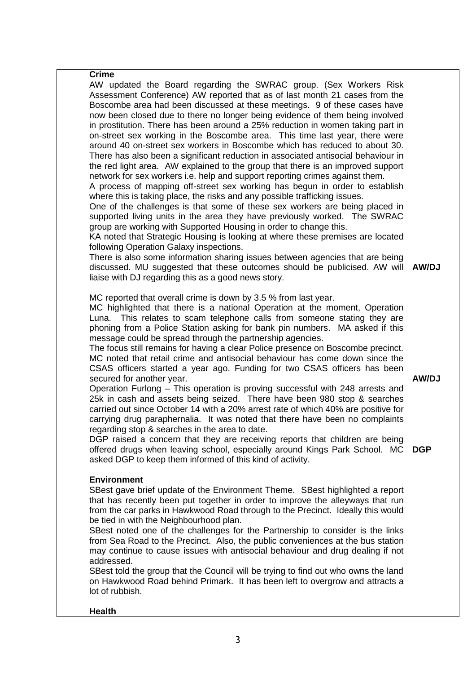| <b>Crime</b>                                                                                                                                                                                                                                                                                                                                                                                                                                                                                                                                                                                                                                                                                                                                                                                                                                                                                                                                                                                                                                                                                                                                                                                                                                                                                                                                                                                                                                                                                                                                                        |              |
|---------------------------------------------------------------------------------------------------------------------------------------------------------------------------------------------------------------------------------------------------------------------------------------------------------------------------------------------------------------------------------------------------------------------------------------------------------------------------------------------------------------------------------------------------------------------------------------------------------------------------------------------------------------------------------------------------------------------------------------------------------------------------------------------------------------------------------------------------------------------------------------------------------------------------------------------------------------------------------------------------------------------------------------------------------------------------------------------------------------------------------------------------------------------------------------------------------------------------------------------------------------------------------------------------------------------------------------------------------------------------------------------------------------------------------------------------------------------------------------------------------------------------------------------------------------------|--------------|
| AW updated the Board regarding the SWRAC group. (Sex Workers Risk<br>Assessment Conference) AW reported that as of last month 21 cases from the<br>Boscombe area had been discussed at these meetings. 9 of these cases have<br>now been closed due to there no longer being evidence of them being involved<br>in prostitution. There has been around a 25% reduction in women taking part in<br>on-street sex working in the Boscombe area. This time last year, there were<br>around 40 on-street sex workers in Boscombe which has reduced to about 30.<br>There has also been a significant reduction in associated antisocial behaviour in<br>the red light area. AW explained to the group that there is an improved support<br>network for sex workers i.e. help and support reporting crimes against them.<br>A process of mapping off-street sex working has begun in order to establish<br>where this is taking place, the risks and any possible trafficking issues.<br>One of the challenges is that some of these sex workers are being placed in<br>supported living units in the area they have previously worked. The SWRAC<br>group are working with Supported Housing in order to change this.<br>KA noted that Strategic Housing is looking at where these premises are located<br>following Operation Galaxy inspections.<br>There is also some information sharing issues between agencies that are being<br>discussed. MU suggested that these outcomes should be publicised. AW will<br>liaise with DJ regarding this as a good news story. | AW/DJ        |
| MC reported that overall crime is down by 3.5 % from last year.<br>MC highlighted that there is a national Operation at the moment, Operation<br>Luna. This relates to scam telephone calls from someone stating they are<br>phoning from a Police Station asking for bank pin numbers. MA asked if this<br>message could be spread through the partnership agencies.<br>The focus still remains for having a clear Police presence on Boscombe precinct.<br>MC noted that retail crime and antisocial behaviour has come down since the<br>CSAS officers started a year ago. Funding for two CSAS officers has been<br>secured for another year.<br>Operation Furlong – This operation is proving successful with 248 arrests and<br>25k in cash and assets being seized. There have been 980 stop & searches<br>carried out since October 14 with a 20% arrest rate of which 40% are positive for<br>carrying drug paraphernalia. It was noted that there have been no complaints<br>regarding stop & searches in the area to date.                                                                                                                                                                                                                                                                                                                                                                                                                                                                                                                               | <b>AW/DJ</b> |
| DGP raised a concern that they are receiving reports that children are being<br>offered drugs when leaving school, especially around Kings Park School. MC<br>asked DGP to keep them informed of this kind of activity.                                                                                                                                                                                                                                                                                                                                                                                                                                                                                                                                                                                                                                                                                                                                                                                                                                                                                                                                                                                                                                                                                                                                                                                                                                                                                                                                             | <b>DGP</b>   |
| <b>Environment</b><br>SBest gave brief update of the Environment Theme. SBest highlighted a report<br>that has recently been put together in order to improve the alleyways that run<br>from the car parks in Hawkwood Road through to the Precinct. Ideally this would<br>be tied in with the Neighbourhood plan.<br>SBest noted one of the challenges for the Partnership to consider is the links<br>from Sea Road to the Precinct. Also, the public conveniences at the bus station<br>may continue to cause issues with antisocial behaviour and drug dealing if not<br>addressed.<br>SBest told the group that the Council will be trying to find out who owns the land<br>on Hawkwood Road behind Primark. It has been left to overgrow and attracts a<br>lot of rubbish.                                                                                                                                                                                                                                                                                                                                                                                                                                                                                                                                                                                                                                                                                                                                                                                    |              |
| <b>Health</b>                                                                                                                                                                                                                                                                                                                                                                                                                                                                                                                                                                                                                                                                                                                                                                                                                                                                                                                                                                                                                                                                                                                                                                                                                                                                                                                                                                                                                                                                                                                                                       |              |